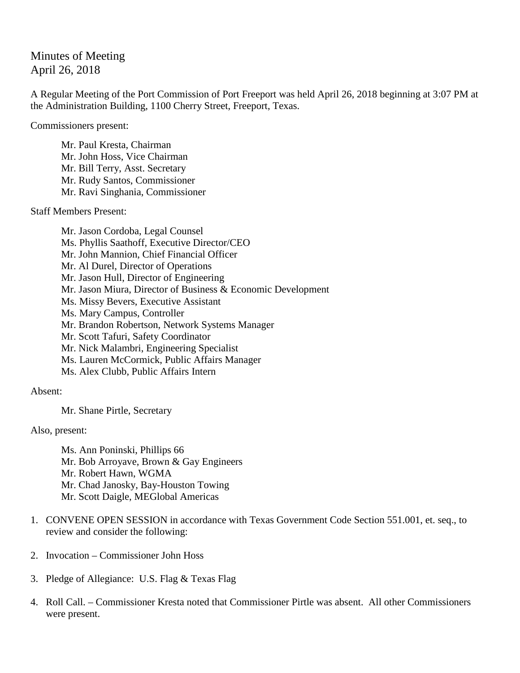## Minutes of Meeting April 26, 2018

A Regular Meeting of the Port Commission of Port Freeport was held April 26, 2018 beginning at 3:07 PM at the Administration Building, 1100 Cherry Street, Freeport, Texas.

Commissioners present:

Mr. Paul Kresta, Chairman Mr. John Hoss, Vice Chairman Mr. Bill Terry, Asst. Secretary Mr. Rudy Santos, Commissioner Mr. Ravi Singhania, Commissioner

Staff Members Present:

Mr. Jason Cordoba, Legal Counsel Ms. Phyllis Saathoff, Executive Director/CEO Mr. John Mannion, Chief Financial Officer Mr. Al Durel, Director of Operations Mr. Jason Hull, Director of Engineering Mr. Jason Miura, Director of Business & Economic Development Ms. Missy Bevers, Executive Assistant Ms. Mary Campus, Controller Mr. Brandon Robertson, Network Systems Manager Mr. Scott Tafuri, Safety Coordinator Mr. Nick Malambri, Engineering Specialist Ms. Lauren McCormick, Public Affairs Manager Ms. Alex Clubb, Public Affairs Intern

Absent:

Mr. Shane Pirtle, Secretary

Also, present:

Ms. Ann Poninski, Phillips 66 Mr. Bob Arroyave, Brown & Gay Engineers Mr. Robert Hawn, WGMA Mr. Chad Janosky, Bay-Houston Towing Mr. Scott Daigle, MEGlobal Americas

- 1. CONVENE OPEN SESSION in accordance with Texas Government Code Section 551.001, et. seq., to review and consider the following:
- 2. Invocation Commissioner John Hoss
- 3. Pledge of Allegiance: U.S. Flag & Texas Flag
- 4. Roll Call. Commissioner Kresta noted that Commissioner Pirtle was absent. All other Commissioners were present.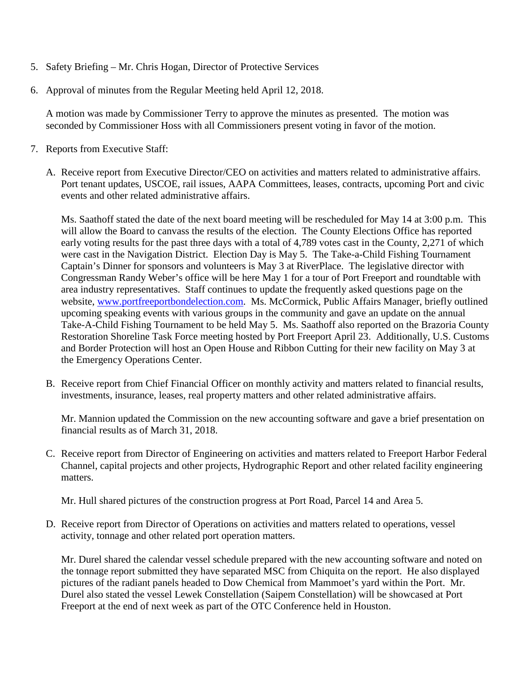- 5. Safety Briefing Mr. Chris Hogan, Director of Protective Services
- 6. Approval of minutes from the Regular Meeting held April 12, 2018.

A motion was made by Commissioner Terry to approve the minutes as presented. The motion was seconded by Commissioner Hoss with all Commissioners present voting in favor of the motion.

- 7. Reports from Executive Staff:
	- A. Receive report from Executive Director/CEO on activities and matters related to administrative affairs. Port tenant updates, USCOE, rail issues, AAPA Committees, leases, contracts, upcoming Port and civic events and other related administrative affairs.

Ms. Saathoff stated the date of the next board meeting will be rescheduled for May 14 at 3:00 p.m. This will allow the Board to canvass the results of the election. The County Elections Office has reported early voting results for the past three days with a total of 4,789 votes cast in the County, 2,271 of which were cast in the Navigation District. Election Day is May 5. The Take-a-Child Fishing Tournament Captain's Dinner for sponsors and volunteers is May 3 at RiverPlace. The legislative director with Congressman Randy Weber's office will be here May 1 for a tour of Port Freeport and roundtable with area industry representatives. Staff continues to update the frequently asked questions page on the website, [www.portfreeportbondelection.com.](http://www.portfreeportbondelection.com/) Ms. McCormick, Public Affairs Manager, briefly outlined upcoming speaking events with various groups in the community and gave an update on the annual Take-A-Child Fishing Tournament to be held May 5. Ms. Saathoff also reported on the Brazoria County Restoration Shoreline Task Force meeting hosted by Port Freeport April 23. Additionally, U.S. Customs and Border Protection will host an Open House and Ribbon Cutting for their new facility on May 3 at the Emergency Operations Center.

B. Receive report from Chief Financial Officer on monthly activity and matters related to financial results, investments, insurance, leases, real property matters and other related administrative affairs.

Mr. Mannion updated the Commission on the new accounting software and gave a brief presentation on financial results as of March 31, 2018.

C. Receive report from Director of Engineering on activities and matters related to Freeport Harbor Federal Channel, capital projects and other projects, Hydrographic Report and other related facility engineering matters.

Mr. Hull shared pictures of the construction progress at Port Road, Parcel 14 and Area 5.

D. Receive report from Director of Operations on activities and matters related to operations, vessel activity, tonnage and other related port operation matters.

Mr. Durel shared the calendar vessel schedule prepared with the new accounting software and noted on the tonnage report submitted they have separated MSC from Chiquita on the report. He also displayed pictures of the radiant panels headed to Dow Chemical from Mammoet's yard within the Port. Mr. Durel also stated the vessel Lewek Constellation (Saipem Constellation) will be showcased at Port Freeport at the end of next week as part of the OTC Conference held in Houston.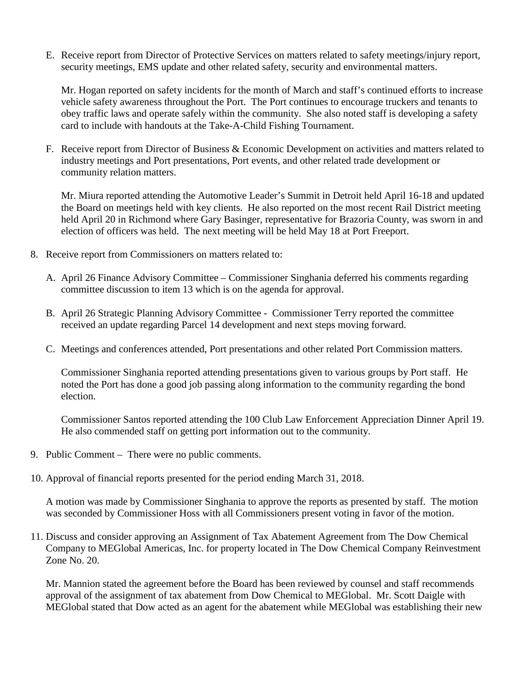E. Receive report from Director of Protective Services on matters related to safety meetings/injury report, security meetings, EMS update and other related safety, security and environmental matters.

Mr. Hogan reported on safety incidents for the month of March and staff's continued efforts to increase vehicle safety awareness throughout the Port. The Port continues to encourage truckers and tenants to obey traffic laws and operate safely within the community. She also noted staff is developing a safety card to include with handouts at the Take-A-Child Fishing Tournament.

F. Receive report from Director of Business & Economic Development on activities and matters related to industry meetings and Port presentations, Port events, and other related trade development or community relation matters.

Mr. Miura reported attending the Automotive Leader's Summit in Detroit held April 16-18 and updated the Board on meetings held with key clients. He also reported on the most recent Rail District meeting held April 20 in Richmond where Gary Basinger, representative for Brazoria County, was sworn in and election of officers was held. The next meeting will be held May 18 at Port Freeport.

- 8. Receive report from Commissioners on matters related to:
	- A. April 26 Finance Advisory Committee Commissioner Singhania deferred his comments regarding committee discussion to item 13 which is on the agenda for approval.
	- B. April 26 Strategic Planning Advisory Committee Commissioner Terry reported the committee received an update regarding Parcel 14 development and next steps moving forward.
	- C. Meetings and conferences attended, Port presentations and other related Port Commission matters.

Commissioner Singhania reported attending presentations given to various groups by Port staff. He noted the Port has done a good job passing along information to the community regarding the bond election.

Commissioner Santos reported attending the 100 Club Law Enforcement Appreciation Dinner April 19. He also commended staff on getting port information out to the community.

- 9. Public Comment There were no public comments.
- 10. Approval of financial reports presented for the period ending March 31, 2018.

A motion was made by Commissioner Singhania to approve the reports as presented by staff. The motion was seconded by Commissioner Hoss with all Commissioners present voting in favor of the motion.

11. Discuss and consider approving an Assignment of Tax Abatement Agreement from The Dow Chemical Company to MEGlobal Americas, Inc. for property located in The Dow Chemical Company Reinvestment Zone No. 20.

Mr. Mannion stated the agreement before the Board has been reviewed by counsel and staff recommends approval of the assignment of tax abatement from Dow Chemical to MEGlobal. Mr. Scott Daigle with MEGlobal stated that Dow acted as an agent for the abatement while MEGlobal was establishing their new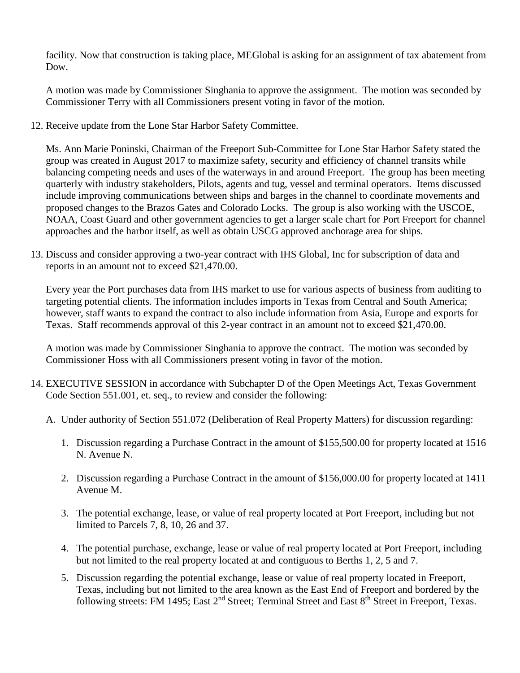facility. Now that construction is taking place, MEGlobal is asking for an assignment of tax abatement from Dow.

A motion was made by Commissioner Singhania to approve the assignment. The motion was seconded by Commissioner Terry with all Commissioners present voting in favor of the motion.

12. Receive update from the Lone Star Harbor Safety Committee.

Ms. Ann Marie Poninski, Chairman of the Freeport Sub-Committee for Lone Star Harbor Safety stated the group was created in August 2017 to maximize safety, security and efficiency of channel transits while balancing competing needs and uses of the waterways in and around Freeport. The group has been meeting quarterly with industry stakeholders, Pilots, agents and tug, vessel and terminal operators. Items discussed include improving communications between ships and barges in the channel to coordinate movements and proposed changes to the Brazos Gates and Colorado Locks. The group is also working with the USCOE, NOAA, Coast Guard and other government agencies to get a larger scale chart for Port Freeport for channel approaches and the harbor itself, as well as obtain USCG approved anchorage area for ships.

13. Discuss and consider approving a two-year contract with IHS Global, Inc for subscription of data and reports in an amount not to exceed \$21,470.00.

Every year the Port purchases data from IHS market to use for various aspects of business from auditing to targeting potential clients. The information includes imports in Texas from Central and South America; however, staff wants to expand the contract to also include information from Asia, Europe and exports for Texas. Staff recommends approval of this 2-year contract in an amount not to exceed \$21,470.00.

A motion was made by Commissioner Singhania to approve the contract. The motion was seconded by Commissioner Hoss with all Commissioners present voting in favor of the motion.

- 14. EXECUTIVE SESSION in accordance with Subchapter D of the Open Meetings Act, Texas Government Code Section 551.001, et. seq., to review and consider the following:
	- A. Under authority of Section 551.072 (Deliberation of Real Property Matters) for discussion regarding:
		- 1. Discussion regarding a Purchase Contract in the amount of \$155,500.00 for property located at 1516 N. Avenue N.
		- 2. Discussion regarding a Purchase Contract in the amount of \$156,000.00 for property located at 1411 Avenue M.
		- 3. The potential exchange, lease, or value of real property located at Port Freeport, including but not limited to Parcels 7, 8, 10, 26 and 37.
		- 4. The potential purchase, exchange, lease or value of real property located at Port Freeport, including but not limited to the real property located at and contiguous to Berths 1, 2, 5 and 7.
		- 5. Discussion regarding the potential exchange, lease or value of real property located in Freeport, Texas, including but not limited to the area known as the East End of Freeport and bordered by the following streets: FM 1495; East 2<sup>nd</sup> Street; Terminal Street and East 8<sup>th</sup> Street in Freeport, Texas.